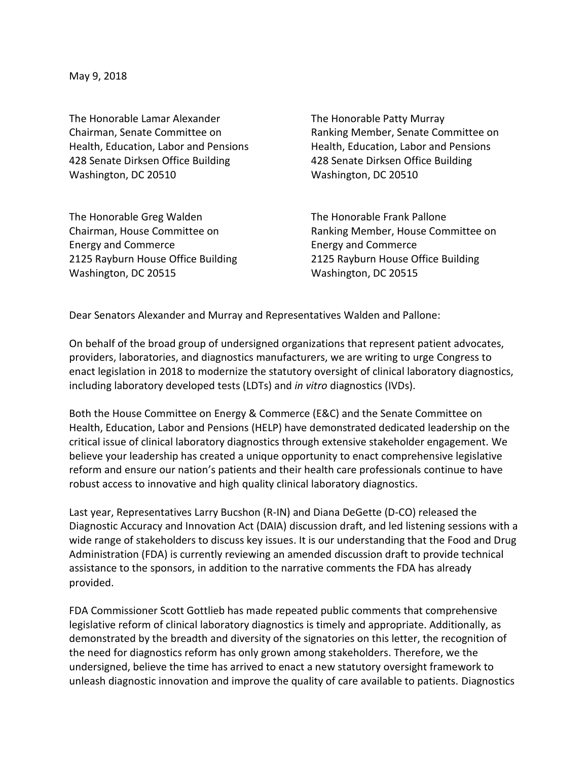May 9, 2018

The Honorable Lamar Alexander The Honorable Patty Murray 428 Senate Dirksen Office Building 428 Senate Dirksen Office Building Washington, DC 20510 Washington, DC 20510

Chairman, Senate Committee on Ranking Member, Senate Committee on Health, Education, Labor and Pensions Health, Education, Labor and Pensions

The Honorable Greg Walden The Honorable Frank Pallone Energy and Commerce Energy and Commerce Washington, DC 20515 Washington, DC 20515

Chairman, House Committee on Ranking Member, House Committee on 2125 Rayburn House Office Building 2125 Rayburn House Office Building

Dear Senators Alexander and Murray and Representatives Walden and Pallone:

On behalf of the broad group of undersigned organizations that represent patient advocates, providers, laboratories, and diagnostics manufacturers, we are writing to urge Congress to enact legislation in 2018 to modernize the statutory oversight of clinical laboratory diagnostics, including laboratory developed tests (LDTs) and *in vitro* diagnostics (IVDs).

Both the House Committee on Energy & Commerce (E&C) and the Senate Committee on Health, Education, Labor and Pensions (HELP) have demonstrated dedicated leadership on the critical issue of clinical laboratory diagnostics through extensive stakeholder engagement. We believe your leadership has created a unique opportunity to enact comprehensive legislative reform and ensure our nation's patients and their health care professionals continue to have robust access to innovative and high quality clinical laboratory diagnostics.

Last year, Representatives Larry Bucshon (R-IN) and Diana DeGette (D-CO) released the Diagnostic Accuracy and Innovation Act (DAIA) discussion draft, and led listening sessions with a wide range of stakeholders to discuss key issues. It is our understanding that the Food and Drug Administration (FDA) is currently reviewing an amended discussion draft to provide technical assistance to the sponsors, in addition to the narrative comments the FDA has already provided.

FDA Commissioner Scott Gottlieb has made repeated public comments that comprehensive legislative reform of clinical laboratory diagnostics is timely and appropriate. Additionally, as demonstrated by the breadth and diversity of the signatories on this letter, the recognition of the need for diagnostics reform has only grown among stakeholders. Therefore, we the undersigned, believe the time has arrived to enact a new statutory oversight framework to unleash diagnostic innovation and improve the quality of care available to patients. Diagnostics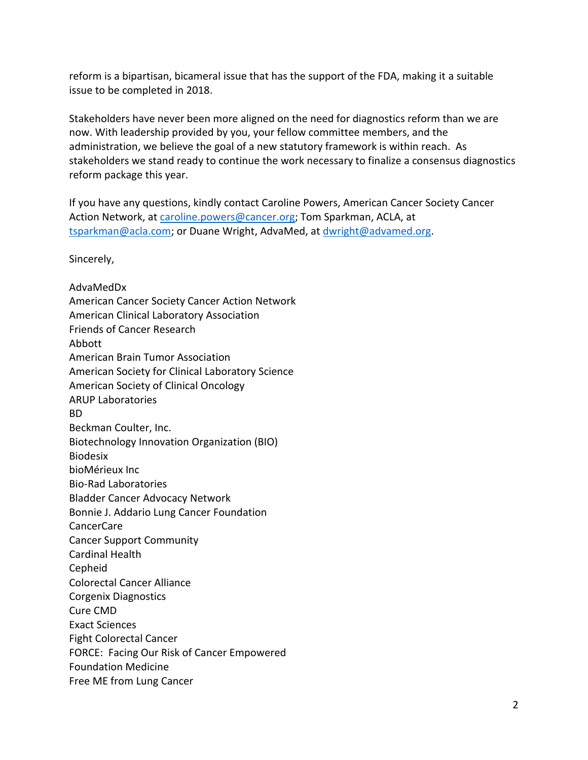reform is a bipartisan, bicameral issue that has the support of the FDA, making it a suitable issue to be completed in 2018.

Stakeholders have never been more aligned on the need for diagnostics reform than we are now. With leadership provided by you, your fellow committee members, and the administration, we believe the goal of a new statutory framework is within reach. As stakeholders we stand ready to continue the work necessary to finalize a consensus diagnostics reform package this year.

If you have any questions, kindly contact Caroline Powers, American Cancer Society Cancer Action Network, at [caroline.powers@cancer.org;](mailto:caroline.powers@cancer.org) Tom Sparkman, ACLA, at [tsparkman@acla.com;](mailto:tsparkman@acla.com) or Duane Wright, AdvaMed, at [dwright@advamed.org.](mailto:dwright@advamed.org)

Sincerely,

AdvaMedDx American Cancer Society Cancer Action Network American Clinical Laboratory Association Friends of Cancer Research Abbott American Brain Tumor Association American Society for Clinical Laboratory Science American Society of Clinical Oncology ARUP Laboratories BD Beckman Coulter, Inc. Biotechnology Innovation Organization (BIO) Biodesix bioMérieux Inc Bio-Rad Laboratories Bladder Cancer Advocacy Network Bonnie J. Addario Lung Cancer Foundation CancerCare Cancer Support Community Cardinal Health Cepheid Colorectal Cancer Alliance Corgenix Diagnostics Cure CMD Exact Sciences Fight Colorectal Cancer FORCE: Facing Our Risk of Cancer Empowered Foundation Medicine Free ME from Lung Cancer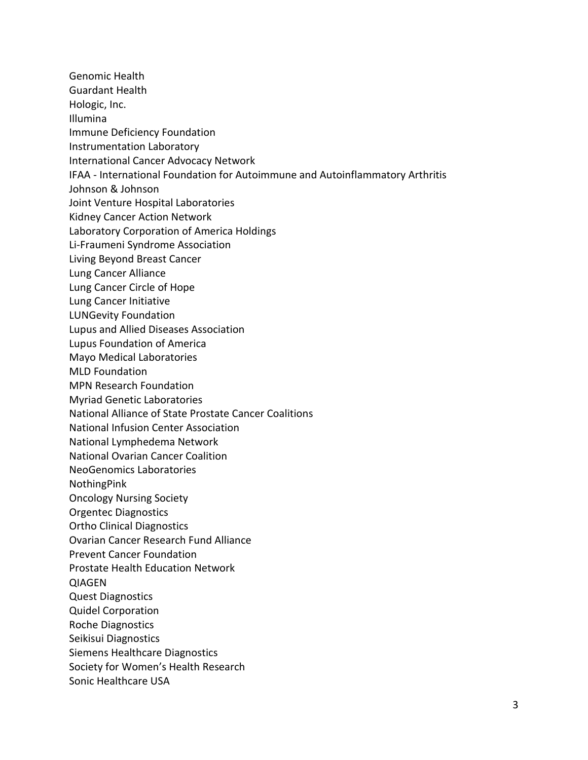Genomic Health Guardant Health Hologic, Inc. Illumina Immune Deficiency Foundation Instrumentation Laboratory International Cancer Advocacy Network IFAA - International Foundation for Autoimmune and Autoinflammatory Arthritis Johnson & Johnson Joint Venture Hospital Laboratories Kidney Cancer Action Network Laboratory Corporation of America Holdings Li-Fraumeni Syndrome Association Living Beyond Breast Cancer Lung Cancer Alliance Lung Cancer Circle of Hope Lung Cancer Initiative LUNGevity Foundation Lupus and Allied Diseases Association Lupus Foundation of America Mayo Medical Laboratories MLD Foundation MPN Research Foundation Myriad Genetic Laboratories National Alliance of State Prostate Cancer Coalitions National Infusion Center Association National Lymphedema Network National Ovarian Cancer Coalition NeoGenomics Laboratories NothingPink Oncology Nursing Society Orgentec Diagnostics Ortho Clinical Diagnostics Ovarian Cancer Research Fund Alliance Prevent Cancer Foundation Prostate Health Education Network QIAGEN Quest Diagnostics Quidel Corporation Roche Diagnostics Seikisui Diagnostics Siemens Healthcare Diagnostics Society for Women's Health Research Sonic Healthcare USA